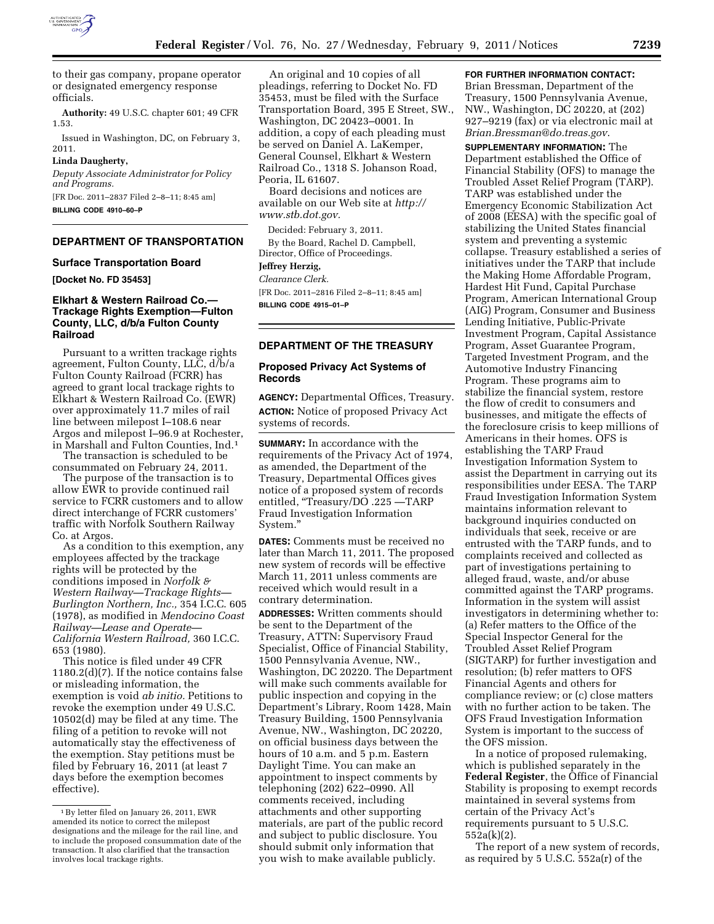

to their gas company, propane operator or designated emergency response officials.

**Authority:** 49 U.S.C. chapter 601; 49 CFR 1.53.

Issued in Washington, DC, on February 3, 2011.

# **Linda Daugherty,**

*Deputy Associate Administrator for Policy and Programs.* 

[FR Doc. 2011–2837 Filed 2–8–11; 8:45 am] **BILLING CODE 4910–60–P** 

## **DEPARTMENT OF TRANSPORTATION**

## **Surface Transportation Board**

**[Docket No. FD 35453]** 

# **Elkhart & Western Railroad Co.— Trackage Rights Exemption—Fulton County, LLC, d/b/a Fulton County Railroad**

Pursuant to a written trackage rights agreement, Fulton County, LLC, d/b/a Fulton County Railroad (FCRR) has agreed to grant local trackage rights to Elkhart & Western Railroad Co. (EWR) over approximately 11.7 miles of rail line between milepost I–108.6 near Argos and milepost I–96.9 at Rochester, in Marshall and Fulton Counties, Ind.1

The transaction is scheduled to be consummated on February 24, 2011.

The purpose of the transaction is to allow EWR to provide continued rail service to FCRR customers and to allow direct interchange of FCRR customers' traffic with Norfolk Southern Railway Co. at Argos.

As a condition to this exemption, any employees affected by the trackage rights will be protected by the conditions imposed in *Norfolk & Western Railway—Trackage Rights— Burlington Northern, Inc.,* 354 I.C.C. 605 (1978), as modified in *Mendocino Coast Railway—Lease and Operate— California Western Railroad,* 360 I.C.C. 653 (1980).

This notice is filed under 49 CFR 1180.2(d)(7). If the notice contains false or misleading information, the exemption is void *ab initio.* Petitions to revoke the exemption under 49 U.S.C. 10502(d) may be filed at any time. The filing of a petition to revoke will not automatically stay the effectiveness of the exemption. Stay petitions must be filed by February 16, 2011 (at least 7 days before the exemption becomes effective).

An original and 10 copies of all pleadings, referring to Docket No. FD 35453, must be filed with the Surface Transportation Board, 395 E Street, SW., Washington, DC 20423–0001. In addition, a copy of each pleading must be served on Daniel A. LaKemper, General Counsel, Elkhart & Western Railroad Co., 1318 S. Johanson Road, Peoria, IL 61607.

Board decisions and notices are available on our Web site at *[http://](http://www.stb.dot.gov) [www.stb.dot.gov.](http://www.stb.dot.gov)* 

Decided: February 3, 2011. By the Board, Rachel D. Campbell, Director, Office of Proceedings.

#### **Jeffrey Herzig,**

*Clearance Clerk.* 

[FR Doc. 2011–2816 Filed 2–8–11; 8:45 am] **BILLING CODE 4915–01–P** 

## **DEPARTMENT OF THE TREASURY**

## **Proposed Privacy Act Systems of Records**

**AGENCY:** Departmental Offices, Treasury. **ACTION:** Notice of proposed Privacy Act systems of records.

**SUMMARY:** In accordance with the requirements of the Privacy Act of 1974, as amended, the Department of the Treasury, Departmental Offices gives notice of a proposed system of records entitled, "Treasury/DO .225 - TARP Fraud Investigation Information System.''

**DATES:** Comments must be received no later than March 11, 2011. The proposed new system of records will be effective March 11, 2011 unless comments are received which would result in a contrary determination.

**ADDRESSES:** Written comments should be sent to the Department of the Treasury, ATTN: Supervisory Fraud Specialist, Office of Financial Stability, 1500 Pennsylvania Avenue, NW., Washington, DC 20220. The Department will make such comments available for public inspection and copying in the Department's Library, Room 1428, Main Treasury Building, 1500 Pennsylvania Avenue, NW., Washington, DC 20220, on official business days between the hours of 10 a.m. and 5 p.m. Eastern Daylight Time. You can make an appointment to inspect comments by telephoning (202) 622–0990. All comments received, including attachments and other supporting materials, are part of the public record and subject to public disclosure. You should submit only information that you wish to make available publicly.

# **FOR FURTHER INFORMATION CONTACT:**

Brian Bressman, Department of the Treasury, 1500 Pennsylvania Avenue, NW., Washington, DC 20220, at (202) 927–9219 (fax) or via electronic mail at *[Brian.Bressman@do.treas.gov](mailto:Brian.Bressman@do.treas.gov)*.

**SUPPLEMENTARY INFORMATION:** The Department established the Office of Financial Stability (OFS) to manage the Troubled Asset Relief Program (TARP). TARP was established under the Emergency Economic Stabilization Act of 2008 (EESA) with the specific goal of stabilizing the United States financial system and preventing a systemic collapse. Treasury established a series of initiatives under the TARP that include the Making Home Affordable Program, Hardest Hit Fund, Capital Purchase Program, American International Group (AIG) Program, Consumer and Business Lending Initiative, Public-Private Investment Program, Capital Assistance Program, Asset Guarantee Program, Targeted Investment Program, and the Automotive Industry Financing Program. These programs aim to stabilize the financial system, restore the flow of credit to consumers and businesses, and mitigate the effects of the foreclosure crisis to keep millions of Americans in their homes. OFS is establishing the TARP Fraud Investigation Information System to assist the Department in carrying out its responsibilities under EESA. The TARP Fraud Investigation Information System maintains information relevant to background inquiries conducted on individuals that seek, receive or are entrusted with the TARP funds, and to complaints received and collected as part of investigations pertaining to alleged fraud, waste, and/or abuse committed against the TARP programs. Information in the system will assist investigators in determining whether to: (a) Refer matters to the Office of the Special Inspector General for the Troubled Asset Relief Program (SIGTARP) for further investigation and resolution; (b) refer matters to OFS Financial Agents and others for compliance review; or (c) close matters with no further action to be taken. The OFS Fraud Investigation Information System is important to the success of the OFS mission.

In a notice of proposed rulemaking, which is published separately in the **Federal Register**, the Office of Financial Stability is proposing to exempt records maintained in several systems from certain of the Privacy Act's requirements pursuant to 5 U.S.C. 552a(k)(2).

The report of a new system of records, as required by 5 U.S.C. 552a(r) of the

<sup>1</sup>By letter filed on January 26, 2011, EWR amended its notice to correct the milepost designations and the mileage for the rail line, and to include the proposed consummation date of the transaction. It also clarified that the transaction involves local trackage rights.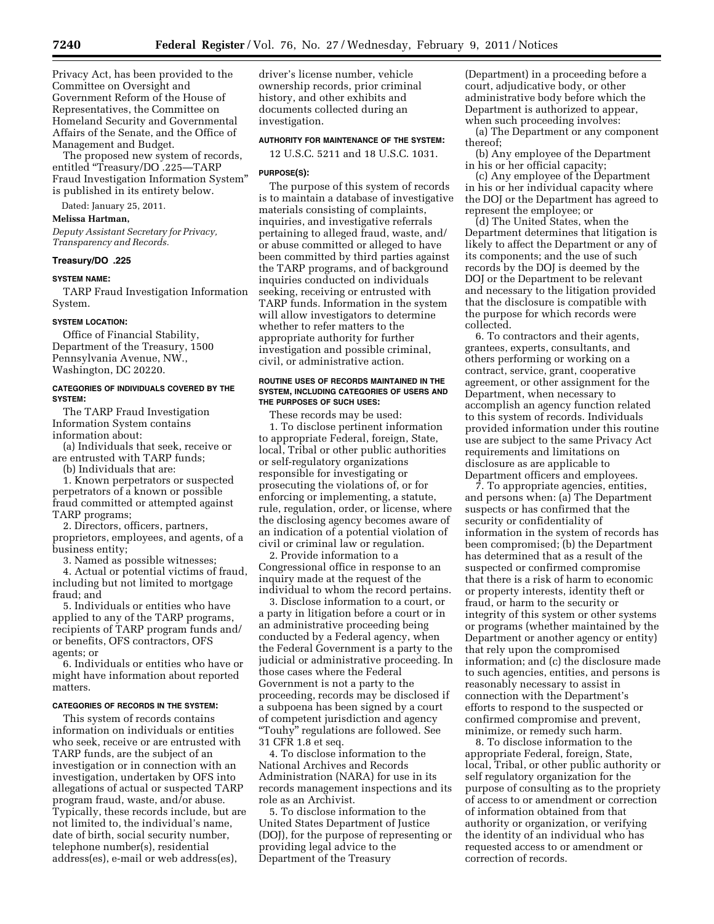Privacy Act, has been provided to the Committee on Oversight and Government Reform of the House of Representatives, the Committee on Homeland Security and Governmental Affairs of the Senate, and the Office of Management and Budget.

The proposed new system of records, entitled "Treasury/DO .225-TARP Fraud Investigation Information System'' is published in its entirety below.

Dated: January 25, 2011.

# **Melissa Hartman,**

*Deputy Assistant Secretary for Privacy, Transparency and Records.* 

## **Treasury/DO .225**

#### **SYSTEM NAME:**

TARP Fraud Investigation Information System.

#### **SYSTEM LOCATION:**

Office of Financial Stability, Department of the Treasury, 1500 Pennsylvania Avenue, NW., Washington, DC 20220.

## **CATEGORIES OF INDIVIDUALS COVERED BY THE SYSTEM:**

The TARP Fraud Investigation

Information System contains information about:

(a) Individuals that seek, receive or are entrusted with TARP funds;

(b) Individuals that are:

1. Known perpetrators or suspected perpetrators of a known or possible fraud committed or attempted against TARP programs;

2. Directors, officers, partners, proprietors, employees, and agents, of a business entity;

3. Named as possible witnesses;

4. Actual or potential victims of fraud, including but not limited to mortgage fraud; and

5. Individuals or entities who have applied to any of the TARP programs, recipients of TARP program funds and/ or benefits, OFS contractors, OFS agents; or

6. Individuals or entities who have or might have information about reported matters.

## **CATEGORIES OF RECORDS IN THE SYSTEM:**

This system of records contains information on individuals or entities who seek, receive or are entrusted with TARP funds, are the subject of an investigation or in connection with an investigation, undertaken by OFS into allegations of actual or suspected TARP program fraud, waste, and/or abuse. Typically, these records include, but are not limited to, the individual's name, date of birth, social security number, telephone number(s), residential address(es), e-mail or web address(es),

driver's license number, vehicle ownership records, prior criminal history, and other exhibits and documents collected during an investigation.

# **AUTHORITY FOR MAINTENANCE OF THE SYSTEM:**

12 U.S.C. 5211 and 18 U.S.C. 1031.

#### **PURPOSE(S):**

The purpose of this system of records is to maintain a database of investigative materials consisting of complaints, inquiries, and investigative referrals pertaining to alleged fraud, waste, and/ or abuse committed or alleged to have been committed by third parties against the TARP programs, and of background inquiries conducted on individuals seeking, receiving or entrusted with TARP funds. Information in the system will allow investigators to determine whether to refer matters to the appropriate authority for further investigation and possible criminal, civil, or administrative action.

#### **ROUTINE USES OF RECORDS MAINTAINED IN THE SYSTEM, INCLUDING CATEGORIES OF USERS AND THE PURPOSES OF SUCH USES:**

These records may be used: 1. To disclose pertinent information to appropriate Federal, foreign, State, local, Tribal or other public authorities or self-regulatory organizations responsible for investigating or prosecuting the violations of, or for enforcing or implementing, a statute, rule, regulation, order, or license, where the disclosing agency becomes aware of an indication of a potential violation of civil or criminal law or regulation.

2. Provide information to a Congressional office in response to an inquiry made at the request of the individual to whom the record pertains.

3. Disclose information to a court, or a party in litigation before a court or in an administrative proceeding being conducted by a Federal agency, when the Federal Government is a party to the judicial or administrative proceeding. In those cases where the Federal Government is not a party to the proceeding, records may be disclosed if a subpoena has been signed by a court of competent jurisdiction and agency "Touhy" regulations are followed. See 31 CFR 1.8 et seq.

4. To disclose information to the National Archives and Records Administration (NARA) for use in its records management inspections and its role as an Archivist.

5. To disclose information to the United States Department of Justice (DOJ), for the purpose of representing or providing legal advice to the Department of the Treasury

(Department) in a proceeding before a court, adjudicative body, or other administrative body before which the Department is authorized to appear, when such proceeding involves:

(a) The Department or any component thereof;

(b) Any employee of the Department in his or her official capacity;

(c) Any employee of the Department in his or her individual capacity where the DOJ or the Department has agreed to represent the employee; or

(d) The United States, when the Department determines that litigation is likely to affect the Department or any of its components; and the use of such records by the DOJ is deemed by the DOJ or the Department to be relevant and necessary to the litigation provided that the disclosure is compatible with the purpose for which records were collected.

6. To contractors and their agents, grantees, experts, consultants, and others performing or working on a contract, service, grant, cooperative agreement, or other assignment for the Department, when necessary to accomplish an agency function related to this system of records. Individuals provided information under this routine use are subject to the same Privacy Act requirements and limitations on disclosure as are applicable to Department officers and employees.

7. To appropriate agencies, entities, and persons when: (a) The Department suspects or has confirmed that the security or confidentiality of information in the system of records has been compromised; (b) the Department has determined that as a result of the suspected or confirmed compromise that there is a risk of harm to economic or property interests, identity theft or fraud, or harm to the security or integrity of this system or other systems or programs (whether maintained by the Department or another agency or entity) that rely upon the compromised information; and (c) the disclosure made to such agencies, entities, and persons is reasonably necessary to assist in connection with the Department's efforts to respond to the suspected or confirmed compromise and prevent, minimize, or remedy such harm.

8. To disclose information to the appropriate Federal, foreign, State, local, Tribal, or other public authority or self regulatory organization for the purpose of consulting as to the propriety of access to or amendment or correction of information obtained from that authority or organization, or verifying the identity of an individual who has requested access to or amendment or correction of records.